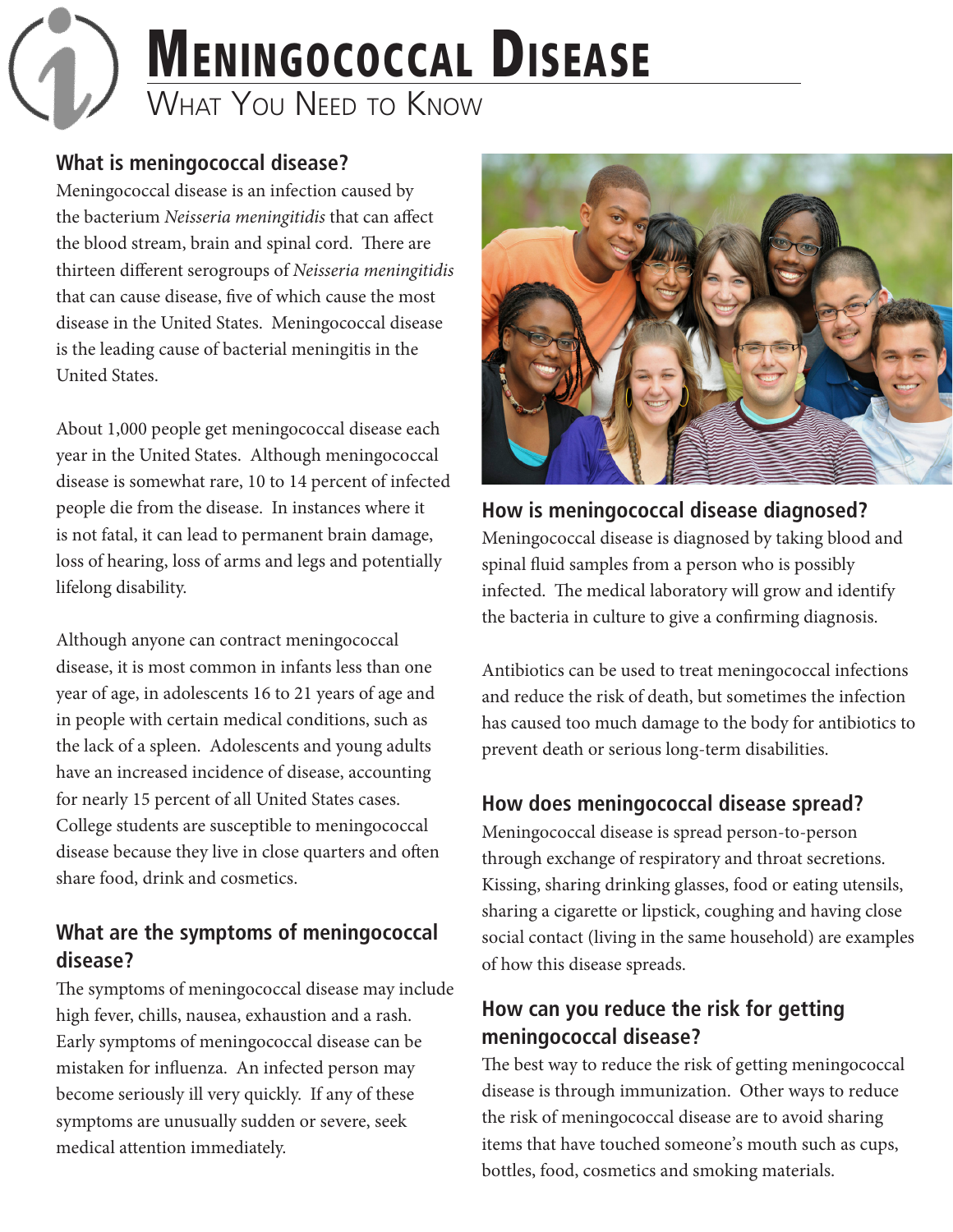# **MENINGOCOCCAL DISEASE** WHAT YOU NEED TO KNOW

#### **What is meningococcal disease?**

Meningococcal disease is an infection caused by the bacterium *Neisseria meningitidis* that can affect the blood stream, brain and spinal cord. There are thirteen different serogroups of *Neisseria meningitidis* that can cause disease, five of which cause the most disease in the United States. Meningococcal disease is the leading cause of bacterial meningitis in the United States.

About 1,000 people get meningococcal disease each year in the United States. Although meningococcal disease is somewhat rare, 10 to 14 percent of infected people die from the disease. In instances where it is not fatal, it can lead to permanent brain damage, loss of hearing, loss of arms and legs and potentially lifelong disability.

Although anyone can contract meningococcal disease, it is most common in infants less than one year of age, in adolescents 16 to 21 years of age and in people with certain medical conditions, such as the lack of a spleen. Adolescents and young adults have an increased incidence of disease, accounting for nearly 15 percent of all United States cases. College students are susceptible to meningococcal disease because they live in close quarters and often share food, drink and cosmetics.

#### **What are the symptoms of meningococcal disease?**

The symptoms of meningococcal disease may include high fever, chills, nausea, exhaustion and a rash. Early symptoms of meningococcal disease can be mistaken for influenza. An infected person may become seriously ill very quickly. If any of these symptoms are unusually sudden or severe, seek medical attention immediately.



**How is meningococcal disease diagnosed?** Meningococcal disease is diagnosed by taking blood and spinal fluid samples from a person who is possibly infected. The medical laboratory will grow and identify the bacteria in culture to give a confirming diagnosis.

Antibiotics can be used to treat meningococcal infections and reduce the risk of death, but sometimes the infection has caused too much damage to the body for antibiotics to prevent death or serious long-term disabilities.

#### **How does meningococcal disease spread?**

Meningococcal disease is spread person-to-person through exchange of respiratory and throat secretions. Kissing, sharing drinking glasses, food or eating utensils, sharing a cigarette or lipstick, coughing and having close social contact (living in the same household) are examples of how this disease spreads.

## **How can you reduce the risk for getting meningococcal disease?**

The best way to reduce the risk of getting meningococcal disease is through immunization. Other ways to reduce the risk of meningococcal disease are to avoid sharing items that have touched someone's mouth such as cups, bottles, food, cosmetics and smoking materials.